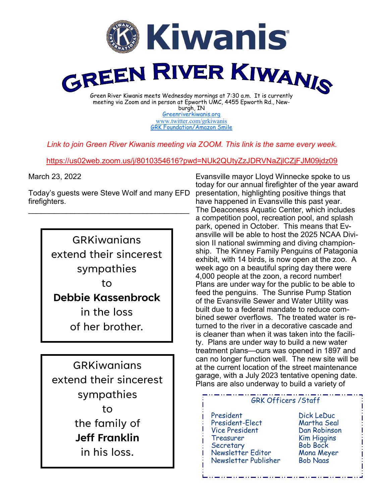

[Greenriverkiwanis.org](http://greenriverkiwanis.org/default.aspx) [www.twitter.com/grkiwanis](http://www.twitter.com/grkiwanis) [GRK Foundation/Amazon Smile](https://smile.amazon.com/ch/81-0946403)

*Link to join Green River Kiwanis meeting via ZOOM. This link is the same every week.*

<https://us02web.zoom.us/j/8010354616?pwd=NUk2QUtyZzJDRVNaZjlCZjFJM09jdz09>

March 23, 2022

Today's guests were Steve Wolf and many EFD firefighters.  $\mathcal{L}_\text{max}$  , and the set of the set of the set of the set of the set of the set of the set of the set of the set of the set of the set of the set of the set of the set of the set of the set of the set of the set of the

> GRKiwanians extend their sincerest sympathies to **Debbie Kassenbrock** in the loss

of her brother.

GRKiwanians extend their sincerest sympathies to the family of **Jeff Franklin**  in his loss.

Evansville mayor Lloyd Winnecke spoke to us today for our annual firefighter of the year award presentation, highlighting positive things that have happened in Evansville this past year. The Deaconess Aquatic Center, which includes a competition pool, recreation pool, and splash park, opened in October. This means that Evansville will be able to host the 2025 NCAA Division II national swimming and diving championship. The Kinney Family Penguins of Patagonia exhibit, with 14 birds, is now open at the zoo. A week ago on a beautiful spring day there were 4,000 people at the zoon, a record number! Plans are under way for the public to be able to feed the penguins. The Sunrise Pump Station of the Evansville Sewer and Water Utility was built due to a federal mandate to reduce combined sewer overflows. The treated water is returned to the river in a decorative cascade and is cleaner than when it was taken into the facility. Plans are under way to build a new water treatment plans—ours was opened in 1897 and can no longer function well. The new site will be at the current location of the street maintenance garage, with a July 2023 tentative opening date. Plans are also underway to build a variety of

## GRK Officers /Staff

 President Dick LeDuc President-Elect Vice President Dan Robinson Treasurer Kim Higgins<br>Secretary Bob Bock Secretary Newsletter Editor Mona Meyer Newsletter Publisher Bob Naas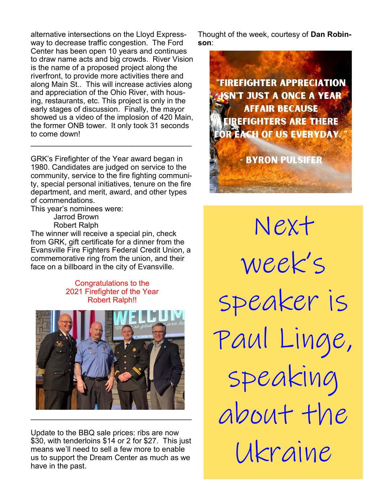alternative intersections on the Lloyd Expressway to decrease traffic congestion. The Ford Center has been open 10 years and continues to draw name acts and big crowds. River Vision is the name of a proposed project along the riverfront, to provide more activities there and along Main St.. This will increase activies along and appreciation of the Ohio River, with housing, restaurants, etc. This project is only in the early stages of discussion. Finally, the mayor showed us a video of the implosion of 420 Main, the former ONB tower. It only took 31 seconds to come down!

GRK's Firefighter of the Year award began in 1980. Candidates are judged on service to the community, service to the fire fighting community, special personal initiatives, tenure on the fire department, and merit, award, and other types of commendations.

 $\mathcal{L}_\text{max}$  , and the set of the set of the set of the set of the set of the set of the set of the set of the set of the set of the set of the set of the set of the set of the set of the set of the set of the set of the

This year's nominees were:

Jarrod Brown Robert Ralph

The winner will receive a special pin, check from GRK, gift certificate for a dinner from the Evansville Fire Fighters Federal Credit Union, a commemorative ring from the union, and their face on a billboard in the city of Evansville.

> Congratulations to the 2021 Firefighter of the Year Robert Ralph!!



Update to the BBQ sale prices: ribs are now \$30, with tenderloins \$14 or 2 for \$27. This just means we'll need to sell a few more to enable us to support the Dream Center as much as we have in the past.

Thought of the week, courtesy of **Dan Robinson**:



Next week's speaker is Paul Linge, speaking about the Ukraine